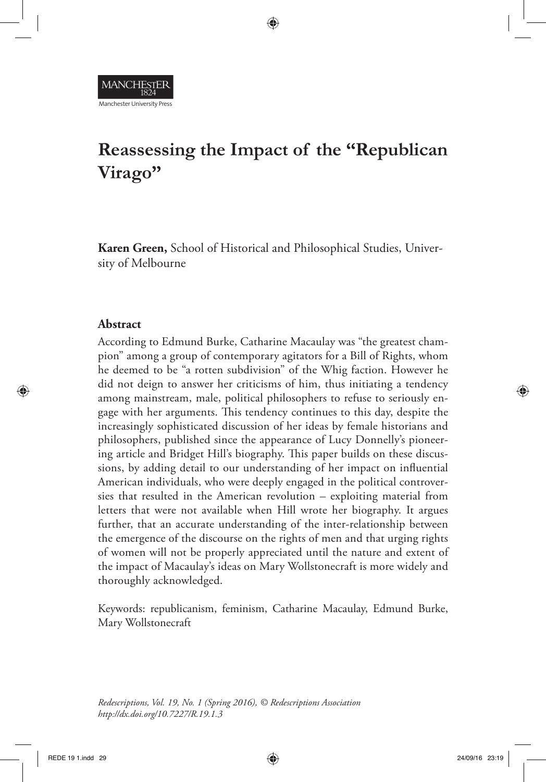# **Reassessing the Impact of the "Republican Virago"**

⊕

**Karen Green,** School of Historical and Philosophical Studies, University of Melbourne

#### **Abstract**

⊕

Manchester University Press

According to Edmund Burke, Catharine Macaulay was "the greatest champion" among a group of contemporary agitators for a Bill of Rights, whom he deemed to be "a rotten subdivision" of the Whig faction. However he did not deign to answer her criticisms of him, thus initiating a tendency among mainstream, male, political philosophers to refuse to seriously engage with her arguments. This tendency continues to this day, despite the increasingly sophisticated discussion of her ideas by female historians and philosophers, published since the appearance of Lucy Donnelly's pioneering article and Bridget Hill's biography. This paper builds on these discussions, by adding detail to our understanding of her impact on influential American individuals, who were deeply engaged in the political controversies that resulted in the American revolution – exploiting material from letters that were not available when Hill wrote her biography. It argues further, that an accurate understanding of the inter-relationship between the emergence of the discourse on the rights of men and that urging rights of women will not be properly appreciated until the nature and extent of the impact of Macaulay's ideas on Mary Wollstonecraft is more widely and thoroughly acknowledged.

Keywords: republicanism, feminism, Catharine Macaulay, Edmund Burke, Mary Wollstonecraft

*Redescriptions, Vol. 19, No. 1 (Spring 2016), © Redescriptions Association http://dx.doi.org/10.7227/R.19.1.3*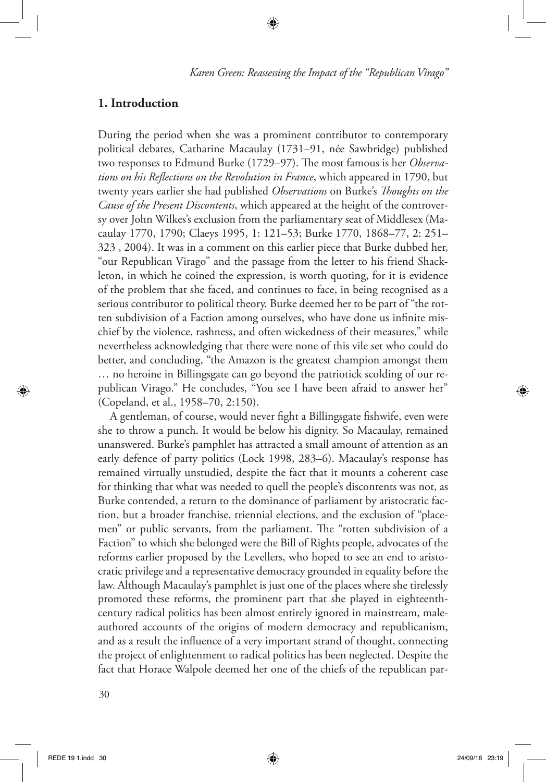⊕

*Karen Green: Reassessing the Impact of the "Republican Virago"*

# **1. Introduction**

During the period when she was a prominent contributor to contemporary political debates, Catharine Macaulay (1731–91, née Sawbridge) published two responses to Edmund Burke (1729–97). The most famous is her *Observations on his Reflections on the Revolution in France*, which appeared in 1790, but twenty years earlier she had published *Observations* on Burke's *Thoughts on the Cause of the Present Discontents*, which appeared at the height of the controversy over John Wilkes's exclusion from the parliamentary seat of Middlesex (Macaulay 1770, 1790; Claeys 1995, 1: 121–53; Burke 1770, 1868–77, 2: 251– 323 , 2004). It was in a comment on this earlier piece that Burke dubbed her, "our Republican Virago" and the passage from the letter to his friend Shackleton, in which he coined the expression, is worth quoting, for it is evidence of the problem that she faced, and continues to face, in being recognised as a serious contributor to political theory. Burke deemed her to be part of "the rotten subdivision of a Faction among ourselves, who have done us infinite mischief by the violence, rashness, and often wickedness of their measures," while nevertheless acknowledging that there were none of this vile set who could do better, and concluding, "the Amazon is the greatest champion amongst them … no heroine in Billingsgate can go beyond the patriotick scolding of our republican Virago." He concludes, "You see I have been afraid to answer her" (Copeland, et al., 1958–70, 2:150).

A gentleman, of course, would never fight a Billingsgate fishwife, even were she to throw a punch. It would be below his dignity. So Macaulay, remained unanswered. Burke's pamphlet has attracted a small amount of attention as an early defence of party politics (Lock 1998, 283–6). Macaulay's response has remained virtually unstudied, despite the fact that it mounts a coherent case for thinking that what was needed to quell the people's discontents was not, as Burke contended, a return to the dominance of parliament by aristocratic faction, but a broader franchise, triennial elections, and the exclusion of "placemen" or public servants, from the parliament. The "rotten subdivision of a Faction" to which she belonged were the Bill of Rights people, advocates of the reforms earlier proposed by the Levellers, who hoped to see an end to aristocratic privilege and a representative democracy grounded in equality before the law. Although Macaulay's pamphlet is just one of the places where she tirelessly promoted these reforms, the prominent part that she played in eighteenthcentury radical politics has been almost entirely ignored in mainstream, maleauthored accounts of the origins of modern democracy and republicanism, and as a result the influence of a very important strand of thought, connecting the project of enlightenment to radical politics has been neglected. Despite the fact that Horace Walpole deemed her one of the chiefs of the republican par-

⊕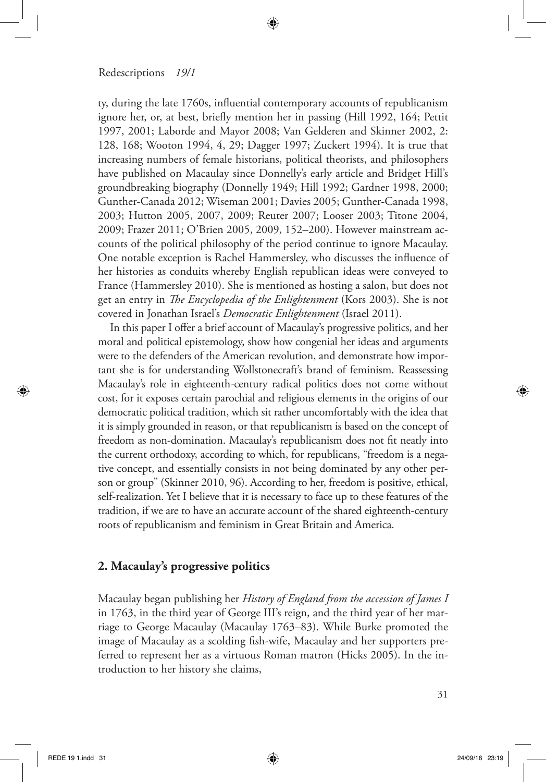ty, during the late 1760s, influential contemporary accounts of republicanism ignore her, or, at best, briefly mention her in passing (Hill 1992, 164; Pettit 1997, 2001; Laborde and Mayor 2008; Van Gelderen and Skinner 2002, 2: 128, 168; Wooton 1994, 4, 29; Dagger 1997; Zuckert 1994). It is true that increasing numbers of female historians, political theorists, and philosophers have published on Macaulay since Donnelly's early article and Bridget Hill's groundbreaking biography (Donnelly 1949; Hill 1992; Gardner 1998, 2000; Gunther-Canada 2012; Wiseman 2001; Davies 2005; Gunther-Canada 1998, 2003; Hutton 2005, 2007, 2009; Reuter 2007; Looser 2003; Titone 2004, 2009; Frazer 2011; O'Brien 2005, 2009, 152–200). However mainstream accounts of the political philosophy of the period continue to ignore Macaulay. One notable exception is Rachel Hammersley, who discusses the influence of her histories as conduits whereby English republican ideas were conveyed to France (Hammersley 2010). She is mentioned as hosting a salon, but does not get an entry in *The Encyclopedia of the Enlightenment* (Kors 2003). She is not covered in Jonathan Israel's *Democratic Enlightenment* (Israel 2011).

⊕

In this paper I offer a brief account of Macaulay's progressive politics, and her moral and political epistemology, show how congenial her ideas and arguments were to the defenders of the American revolution, and demonstrate how important she is for understanding Wollstonecraft's brand of feminism. Reassessing Macaulay's role in eighteenth-century radical politics does not come without cost, for it exposes certain parochial and religious elements in the origins of our democratic political tradition, which sit rather uncomfortably with the idea that it is simply grounded in reason, or that republicanism is based on the concept of freedom as non-domination. Macaulay's republicanism does not fit neatly into the current orthodoxy, according to which, for republicans, "freedom is a negative concept, and essentially consists in not being dominated by any other person or group" (Skinner 2010, 96). According to her, freedom is positive, ethical, self-realization. Yet I believe that it is necessary to face up to these features of the tradition, if we are to have an accurate account of the shared eighteenth-century roots of republicanism and feminism in Great Britain and America.

### **2. Macaulay's progressive politics**

Macaulay began publishing her *History of England from the accession of James I* in 1763, in the third year of George III's reign, and the third year of her marriage to George Macaulay (Macaulay 1763–83). While Burke promoted the image of Macaulay as a scolding fish-wife, Macaulay and her supporters preferred to represent her as a virtuous Roman matron (Hicks 2005). In the introduction to her history she claims,

⊕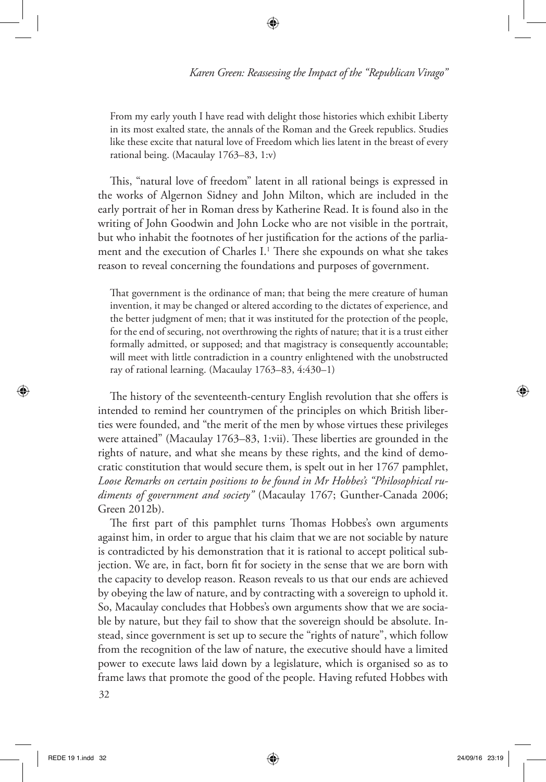From my early youth I have read with delight those histories which exhibit Liberty in its most exalted state, the annals of the Roman and the Greek republics. Studies like these excite that natural love of Freedom which lies latent in the breast of every rational being. (Macaulay 1763–83, 1:v)

⊕

This, "natural love of freedom" latent in all rational beings is expressed in the works of Algernon Sidney and John Milton, which are included in the early portrait of her in Roman dress by Katherine Read. It is found also in the writing of John Goodwin and John Locke who are not visible in the portrait, but who inhabit the footnotes of her justification for the actions of the parliament and the execution of Charles I.<sup>1</sup> There she expounds on what she takes reason to reveal concerning the foundations and purposes of government.

That government is the ordinance of man; that being the mere creature of human invention, it may be changed or altered according to the dictates of experience, and the better judgment of men; that it was instituted for the protection of the people, for the end of securing, not overthrowing the rights of nature; that it is a trust either formally admitted, or supposed; and that magistracy is consequently accountable; will meet with little contradiction in a country enlightened with the unobstructed ray of rational learning. (Macaulay 1763–83, 4:430–1)

The history of the seventeenth-century English revolution that she offers is intended to remind her countrymen of the principles on which British liberties were founded, and "the merit of the men by whose virtues these privileges were attained" (Macaulay 1763–83, 1:vii). These liberties are grounded in the rights of nature, and what she means by these rights, and the kind of democratic constitution that would secure them, is spelt out in her 1767 pamphlet, *Loose Remarks on certain positions to be found in Mr Hobbes's "Philosophical rudiments of government and society"* (Macaulay 1767; Gunther-Canada 2006; Green 2012b).

The first part of this pamphlet turns Thomas Hobbes's own arguments against him, in order to argue that his claim that we are not sociable by nature is contradicted by his demonstration that it is rational to accept political subjection. We are, in fact, born fit for society in the sense that we are born with the capacity to develop reason. Reason reveals to us that our ends are achieved by obeying the law of nature, and by contracting with a sovereign to uphold it. So, Macaulay concludes that Hobbes's own arguments show that we are sociable by nature, but they fail to show that the sovereign should be absolute. Instead, since government is set up to secure the "rights of nature", which follow from the recognition of the law of nature, the executive should have a limited power to execute laws laid down by a legislature, which is organised so as to frame laws that promote the good of the people. Having refuted Hobbes with

32

⊕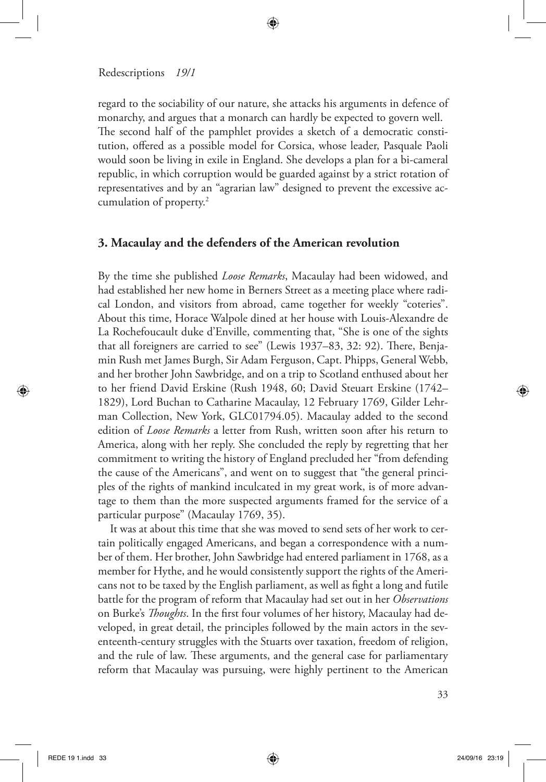regard to the sociability of our nature, she attacks his arguments in defence of monarchy, and argues that a monarch can hardly be expected to govern well. The second half of the pamphlet provides a sketch of a democratic constitution, offered as a possible model for Corsica, whose leader, Pasquale Paoli would soon be living in exile in England. She develops a plan for a bi-cameral republic, in which corruption would be guarded against by a strict rotation of representatives and by an "agrarian law" designed to prevent the excessive accumulation of property.2

⊕

# **3. Macaulay and the defenders of the American revolution**

By the time she published *Loose Remarks*, Macaulay had been widowed, and had established her new home in Berners Street as a meeting place where radical London, and visitors from abroad, came together for weekly "coteries". About this time, Horace Walpole dined at her house with Louis-Alexandre de La Rochefoucault duke d'Enville, commenting that, "She is one of the sights that all foreigners are carried to see" (Lewis 1937–83, 32: 92). There, Benjamin Rush met James Burgh, Sir Adam Ferguson, Capt. Phipps, General Webb, and her brother John Sawbridge, and on a trip to Scotland enthused about her to her friend David Erskine (Rush 1948, 60; David Steuart Erskine (1742– 1829), Lord Buchan to Catharine Macaulay, 12 February 1769, Gilder Lehrman Collection, New York, GLC01794.05). Macaulay added to the second edition of *Loose Remarks* a letter from Rush, written soon after his return to America, along with her reply. She concluded the reply by regretting that her commitment to writing the history of England precluded her "from defending the cause of the Americans", and went on to suggest that "the general principles of the rights of mankind inculcated in my great work, is of more advantage to them than the more suspected arguments framed for the service of a particular purpose" (Macaulay 1769, 35).

It was at about this time that she was moved to send sets of her work to certain politically engaged Americans, and began a correspondence with a number of them. Her brother, John Sawbridge had entered parliament in 1768, as a member for Hythe, and he would consistently support the rights of the Americans not to be taxed by the English parliament, as well as fight a long and futile battle for the program of reform that Macaulay had set out in her *Observations*  on Burke's *Thoughts*. In the first four volumes of her history, Macaulay had developed, in great detail, the principles followed by the main actors in the seventeenth-century struggles with the Stuarts over taxation, freedom of religion, and the rule of law. These arguments, and the general case for parliamentary reform that Macaulay was pursuing, were highly pertinent to the American

⊕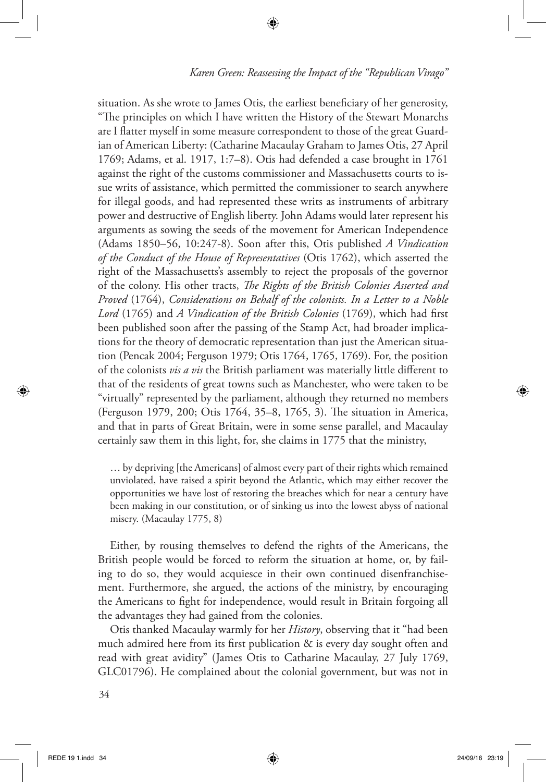situation. As she wrote to James Otis, the earliest beneficiary of her generosity, "The principles on which I have written the History of the Stewart Monarchs are I flatter myself in some measure correspondent to those of the great Guardian of American Liberty: (Catharine Macaulay Graham to James Otis, 27 April 1769; Adams, et al. 1917, 1:7–8). Otis had defended a case brought in 1761 against the right of the customs commissioner and Massachusetts courts to issue writs of assistance, which permitted the commissioner to search anywhere for illegal goods, and had represented these writs as instruments of arbitrary power and destructive of English liberty. John Adams would later represent his arguments as sowing the seeds of the movement for American Independence (Adams 1850–56, 10:247-8). Soon after this, Otis published *A Vindication of the Conduct of the House of Representatives* (Otis 1762), which asserted the right of the Massachusetts's assembly to reject the proposals of the governor of the colony. His other tracts, *The Rights of the British Colonies Asserted and Proved* (1764), *Considerations on Behalf of the colonists. In a Letter to a Noble Lord* (1765) and *A Vindication of the British Colonies* (1769), which had first been published soon after the passing of the Stamp Act, had broader implications for the theory of democratic representation than just the American situation (Pencak 2004; Ferguson 1979; Otis 1764, 1765, 1769). For, the position of the colonists *vis a vis* the British parliament was materially little different to that of the residents of great towns such as Manchester, who were taken to be "virtually" represented by the parliament, although they returned no members (Ferguson 1979, 200; Otis 1764, 35–8, 1765, 3). The situation in America, and that in parts of Great Britain, were in some sense parallel, and Macaulay certainly saw them in this light, for, she claims in 1775 that the ministry,

⊕

… by depriving [the Americans] of almost every part of their rights which remained unviolated, have raised a spirit beyond the Atlantic, which may either recover the opportunities we have lost of restoring the breaches which for near a century have been making in our constitution, or of sinking us into the lowest abyss of national misery. (Macaulay 1775, 8)

Either, by rousing themselves to defend the rights of the Americans, the British people would be forced to reform the situation at home, or, by failing to do so, they would acquiesce in their own continued disenfranchisement. Furthermore, she argued, the actions of the ministry, by encouraging the Americans to fight for independence, would result in Britain forgoing all the advantages they had gained from the colonies.

Otis thanked Macaulay warmly for her *History*, observing that it "had been much admired here from its first publication & is every day sought often and read with great avidity" (James Otis to Catharine Macaulay, 27 July 1769, GLC01796). He complained about the colonial government, but was not in

⊕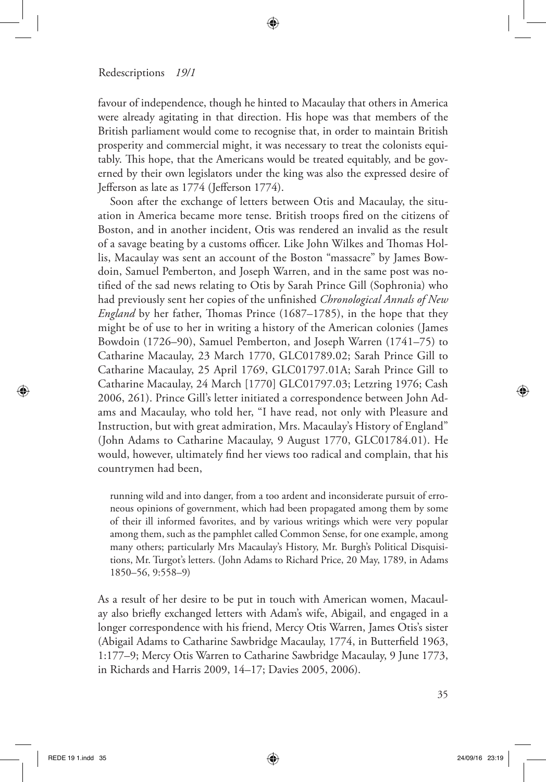favour of independence, though he hinted to Macaulay that others in America were already agitating in that direction. His hope was that members of the British parliament would come to recognise that, in order to maintain British prosperity and commercial might, it was necessary to treat the colonists equitably. This hope, that the Americans would be treated equitably, and be governed by their own legislators under the king was also the expressed desire of Jefferson as late as 1774 (Jefferson 1774).

↔

Soon after the exchange of letters between Otis and Macaulay, the situation in America became more tense. British troops fired on the citizens of Boston, and in another incident, Otis was rendered an invalid as the result of a savage beating by a customs officer. Like John Wilkes and Thomas Hollis, Macaulay was sent an account of the Boston "massacre" by James Bowdoin, Samuel Pemberton, and Joseph Warren, and in the same post was notified of the sad news relating to Otis by Sarah Prince Gill (Sophronia) who had previously sent her copies of the unfinished *Chronological Annals of New England* by her father, Thomas Prince (1687–1785), in the hope that they might be of use to her in writing a history of the American colonies (James Bowdoin (1726–90), Samuel Pemberton, and Joseph Warren (1741–75) to Catharine Macaulay, 23 March 1770, GLC01789.02; Sarah Prince Gill to Catharine Macaulay, 25 April 1769, GLC01797.01A; Sarah Prince Gill to Catharine Macaulay, 24 March [1770] GLC01797.03; Letzring 1976; Cash 2006, 261). Prince Gill's letter initiated a correspondence between John Adams and Macaulay, who told her, "I have read, not only with Pleasure and Instruction, but with great admiration, Mrs. Macaulay's History of England" (John Adams to Catharine Macaulay, 9 August 1770, GLC01784.01). He would, however, ultimately find her views too radical and complain, that his countrymen had been,

running wild and into danger, from a too ardent and inconsiderate pursuit of erroneous opinions of government, which had been propagated among them by some of their ill informed favorites, and by various writings which were very popular among them, such as the pamphlet called Common Sense, for one example, among many others; particularly Mrs Macaulay's History, Mr. Burgh's Political Disquisitions, Mr. Turgot's letters. (John Adams to Richard Price, 20 May, 1789, in Adams 1850–56, 9:558–9)

As a result of her desire to be put in touch with American women, Macaulay also briefly exchanged letters with Adam's wife, Abigail, and engaged in a longer correspondence with his friend, Mercy Otis Warren, James Otis's sister (Abigail Adams to Catharine Sawbridge Macaulay, 1774, in Butterfield 1963, 1:177–9; Mercy Otis Warren to Catharine Sawbridge Macaulay, 9 June 1773, in Richards and Harris 2009, 14–17; Davies 2005, 2006).

⊕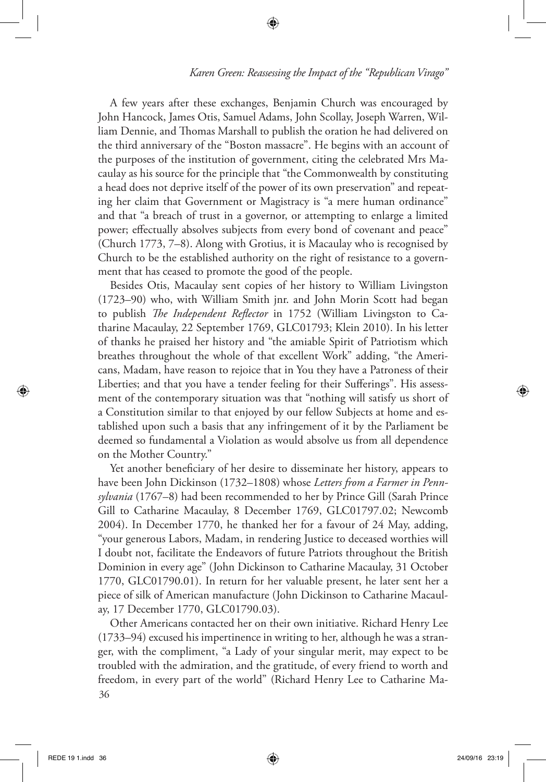A few years after these exchanges, Benjamin Church was encouraged by John Hancock, James Otis, Samuel Adams, John Scollay, Joseph Warren, William Dennie, and Thomas Marshall to publish the oration he had delivered on the third anniversary of the "Boston massacre". He begins with an account of the purposes of the institution of government, citing the celebrated Mrs Macaulay as his source for the principle that "the Commonwealth by constituting a head does not deprive itself of the power of its own preservation" and repeating her claim that Government or Magistracy is "a mere human ordinance" and that "a breach of trust in a governor, or attempting to enlarge a limited power; effectually absolves subjects from every bond of covenant and peace" (Church 1773, 7–8). Along with Grotius, it is Macaulay who is recognised by Church to be the established authority on the right of resistance to a government that has ceased to promote the good of the people.

⊕

Besides Otis, Macaulay sent copies of her history to William Livingston (1723–90) who, with William Smith jnr. and John Morin Scott had began to publish *The Independent Reflector* in 1752 (William Livingston to Catharine Macaulay, 22 September 1769, GLC01793; Klein 2010). In his letter of thanks he praised her history and "the amiable Spirit of Patriotism which breathes throughout the whole of that excellent Work" adding, "the Americans, Madam, have reason to rejoice that in You they have a Patroness of their Liberties; and that you have a tender feeling for their Sufferings". His assessment of the contemporary situation was that "nothing will satisfy us short of a Constitution similar to that enjoyed by our fellow Subjects at home and established upon such a basis that any infringement of it by the Parliament be deemed so fundamental a Violation as would absolve us from all dependence on the Mother Country."

Yet another beneficiary of her desire to disseminate her history, appears to have been John Dickinson (1732–1808) whose *Letters from a Farmer in Pennsylvania* (1767–8) had been recommended to her by Prince Gill (Sarah Prince Gill to Catharine Macaulay, 8 December 1769, GLC01797.02; Newcomb 2004). In December 1770, he thanked her for a favour of 24 May, adding, "your generous Labors, Madam, in rendering Justice to deceased worthies will I doubt not, facilitate the Endeavors of future Patriots throughout the British Dominion in every age" (John Dickinson to Catharine Macaulay, 31 October 1770, GLC01790.01). In return for her valuable present, he later sent her a piece of silk of American manufacture (John Dickinson to Catharine Macaulay, 17 December 1770, GLC01790.03).

36 Other Americans contacted her on their own initiative. Richard Henry Lee (1733–94) excused his impertinence in writing to her, although he was a stranger, with the compliment, "a Lady of your singular merit, may expect to be troubled with the admiration, and the gratitude, of every friend to worth and freedom, in every part of the world" (Richard Henry Lee to Catharine Ma-

⊕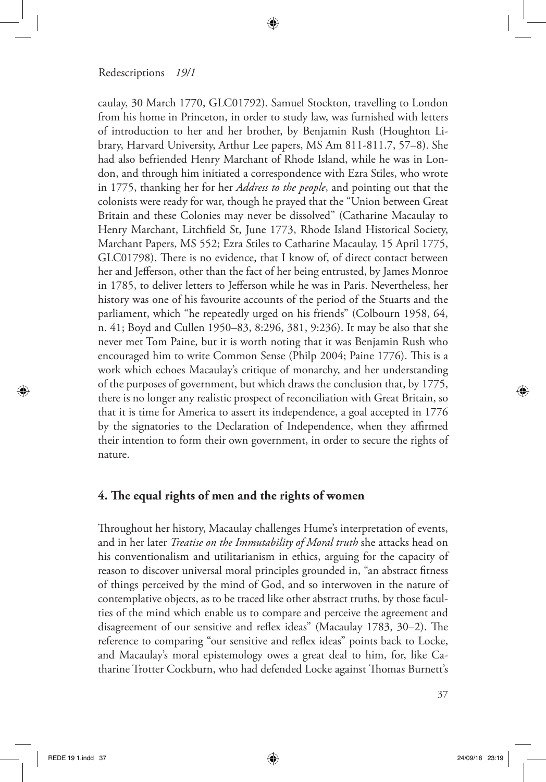caulay, 30 March 1770, GLC01792). Samuel Stockton, travelling to London from his home in Princeton, in order to study law, was furnished with letters of introduction to her and her brother, by Benjamin Rush (Houghton Library, Harvard University, Arthur Lee papers, MS Am 811-811.7, 57–8). She had also befriended Henry Marchant of Rhode Island, while he was in London, and through him initiated a correspondence with Ezra Stiles, who wrote in 1775, thanking her for her *Address to the people*, and pointing out that the colonists were ready for war, though he prayed that the "Union between Great Britain and these Colonies may never be dissolved" (Catharine Macaulay to Henry Marchant, Litchfield St, June 1773, Rhode Island Historical Society, Marchant Papers, MS 552; Ezra Stiles to Catharine Macaulay, 15 April 1775, GLC01798). There is no evidence, that I know of, of direct contact between her and Jefferson, other than the fact of her being entrusted, by James Monroe in 1785, to deliver letters to Jefferson while he was in Paris. Nevertheless, her history was one of his favourite accounts of the period of the Stuarts and the parliament, which "he repeatedly urged on his friends" (Colbourn 1958, 64, n. 41; Boyd and Cullen 1950–83, 8:296, 381, 9:236). It may be also that she never met Tom Paine, but it is worth noting that it was Benjamin Rush who encouraged him to write Common Sense (Philp 2004; Paine 1776). This is a work which echoes Macaulay's critique of monarchy, and her understanding of the purposes of government, but which draws the conclusion that, by 1775, there is no longer any realistic prospect of reconciliation with Great Britain, so that it is time for America to assert its independence, a goal accepted in 1776 by the signatories to the Declaration of Independence, when they affirmed their intention to form their own government, in order to secure the rights of nature.

⊕

# **4. The equal rights of men and the rights of women**

Throughout her history, Macaulay challenges Hume's interpretation of events, and in her later *Treatise on the Immutability of Moral truth* she attacks head on his conventionalism and utilitarianism in ethics, arguing for the capacity of reason to discover universal moral principles grounded in, "an abstract fitness of things perceived by the mind of God, and so interwoven in the nature of contemplative objects, as to be traced like other abstract truths, by those faculties of the mind which enable us to compare and perceive the agreement and disagreement of our sensitive and reflex ideas" (Macaulay 1783, 30–2). The reference to comparing "our sensitive and reflex ideas" points back to Locke, and Macaulay's moral epistemology owes a great deal to him, for, like Catharine Trotter Cockburn, who had defended Locke against Thomas Burnett's

⊕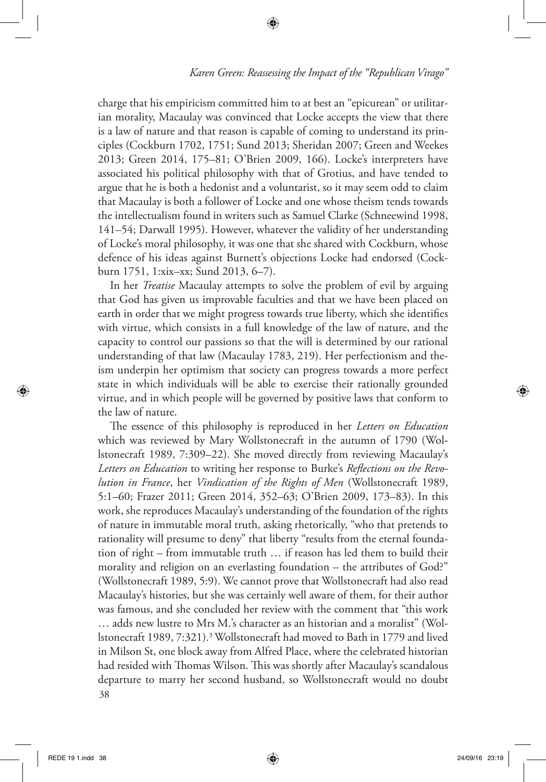charge that his empiricism committed him to at best an "epicurean" or utilitarian morality, Macaulay was convinced that Locke accepts the view that there is a law of nature and that reason is capable of coming to understand its principles (Cockburn 1702, 1751; Sund 2013; Sheridan 2007; Green and Weekes 2013; Green 2014, 175–81; O'Brien 2009, 166). Locke's interpreters have associated his political philosophy with that of Grotius, and have tended to argue that he is both a hedonist and a voluntarist, so it may seem odd to claim that Macaulay is both a follower of Locke and one whose theism tends towards the intellectualism found in writers such as Samuel Clarke (Schneewind 1998, 141–54; Darwall 1995). However, whatever the validity of her understanding of Locke's moral philosophy, it was one that she shared with Cockburn, whose defence of his ideas against Burnett's objections Locke had endorsed (Cockburn 1751, 1:xix–xx; Sund 2013, 6–7).

⊕

In her *Treatise* Macaulay attempts to solve the problem of evil by arguing that God has given us improvable faculties and that we have been placed on earth in order that we might progress towards true liberty, which she identifies with virtue, which consists in a full knowledge of the law of nature, and the capacity to control our passions so that the will is determined by our rational understanding of that law (Macaulay 1783, 219). Her perfectionism and theism underpin her optimism that society can progress towards a more perfect state in which individuals will be able to exercise their rationally grounded virtue, and in which people will be governed by positive laws that conform to the law of nature.

38 The essence of this philosophy is reproduced in her *Letters on Education* which was reviewed by Mary Wollstonecraft in the autumn of 1790 (Wollstonecraft 1989, 7:309–22). She moved directly from reviewing Macaulay's *Letters on Education* to writing her response to Burke's *Reflections on the Revolution in France*, her *Vindication of the Rights of Men* (Wollstonecraft 1989, 5:1–60; Frazer 2011; Green 2014, 352–63; O'Brien 2009, 173–83). In this work, she reproduces Macaulay's understanding of the foundation of the rights of nature in immutable moral truth, asking rhetorically, "who that pretends to rationality will presume to deny" that liberty "results from the eternal foundation of right – from immutable truth … if reason has led them to build their morality and religion on an everlasting foundation – the attributes of God?" (Wollstonecraft 1989, 5:9). We cannot prove that Wollstonecraft had also read Macaulay's histories, but she was certainly well aware of them, for their author was famous, and she concluded her review with the comment that "this work … adds new lustre to Mrs M.'s character as an historian and a moralist" (Wollstonecraft 1989, 7:321).3 Wollstonecraft had moved to Bath in 1779 and lived in Milson St, one block away from Alfred Place, where the celebrated historian had resided with Thomas Wilson. This was shortly after Macaulay's scandalous departure to marry her second husband, so Wollstonecraft would no doubt

⊕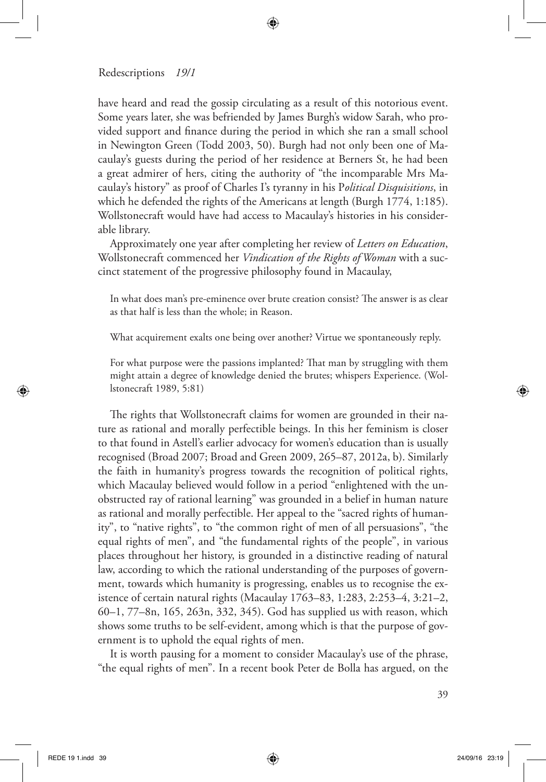have heard and read the gossip circulating as a result of this notorious event. Some years later, she was befriended by James Burgh's widow Sarah, who provided support and finance during the period in which she ran a small school in Newington Green (Todd 2003, 50). Burgh had not only been one of Macaulay's guests during the period of her residence at Berners St, he had been a great admirer of hers, citing the authority of "the incomparable Mrs Macaulay's history" as proof of Charles I's tyranny in his P*olitical Disquisitions*, in which he defended the rights of the Americans at length (Burgh 1774, 1:185). Wollstonecraft would have had access to Macaulay's histories in his considerable library.

⊕

Approximately one year after completing her review of *Letters on Education*, Wollstonecraft commenced her *Vindication of the Rights of Woman* with a succinct statement of the progressive philosophy found in Macaulay,

In what does man's pre-eminence over brute creation consist? The answer is as clear as that half is less than the whole; in Reason.

What acquirement exalts one being over another? Virtue we spontaneously reply.

For what purpose were the passions implanted? That man by struggling with them might attain a degree of knowledge denied the brutes; whispers Experience. (Wollstonecraft 1989, 5:81)

The rights that Wollstonecraft claims for women are grounded in their nature as rational and morally perfectible beings. In this her feminism is closer to that found in Astell's earlier advocacy for women's education than is usually recognised (Broad 2007; Broad and Green 2009, 265–87, 2012a, b). Similarly the faith in humanity's progress towards the recognition of political rights, which Macaulay believed would follow in a period "enlightened with the unobstructed ray of rational learning" was grounded in a belief in human nature as rational and morally perfectible. Her appeal to the "sacred rights of humanity", to "native rights", to "the common right of men of all persuasions", "the equal rights of men", and "the fundamental rights of the people", in various places throughout her history, is grounded in a distinctive reading of natural law, according to which the rational understanding of the purposes of government, towards which humanity is progressing, enables us to recognise the existence of certain natural rights (Macaulay 1763–83, 1:283, 2:253–4, 3:21–2, 60–1, 77–8n, 165, 263n, 332, 345). God has supplied us with reason, which shows some truths to be self-evident, among which is that the purpose of government is to uphold the equal rights of men.

It is worth pausing for a moment to consider Macaulay's use of the phrase, "the equal rights of men". In a recent book Peter de Bolla has argued, on the

⊕

⇔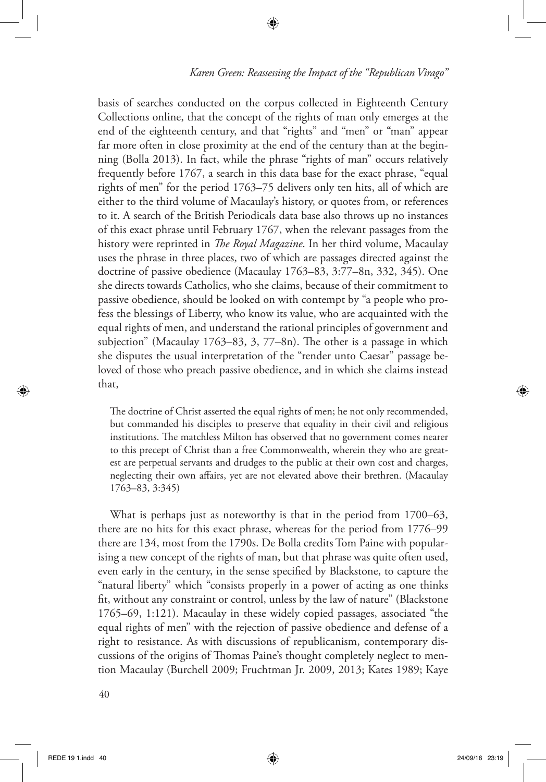basis of searches conducted on the corpus collected in Eighteenth Century Collections online, that the concept of the rights of man only emerges at the end of the eighteenth century, and that "rights" and "men" or "man" appear far more often in close proximity at the end of the century than at the beginning (Bolla 2013). In fact, while the phrase "rights of man" occurs relatively frequently before 1767, a search in this data base for the exact phrase, "equal rights of men" for the period 1763–75 delivers only ten hits, all of which are either to the third volume of Macaulay's history, or quotes from, or references to it. A search of the British Periodicals data base also throws up no instances of this exact phrase until February 1767, when the relevant passages from the history were reprinted in *The Royal Magazine*. In her third volume, Macaulay uses the phrase in three places, two of which are passages directed against the doctrine of passive obedience (Macaulay 1763–83, 3:77–8n, 332, 345). One she directs towards Catholics, who she claims, because of their commitment to passive obedience, should be looked on with contempt by "a people who profess the blessings of Liberty, who know its value, who are acquainted with the equal rights of men, and understand the rational principles of government and subjection" (Macaulay 1763–83, 3, 77–8n). The other is a passage in which she disputes the usual interpretation of the "render unto Caesar" passage beloved of those who preach passive obedience, and in which she claims instead that,

⊕

The doctrine of Christ asserted the equal rights of men; he not only recommended, but commanded his disciples to preserve that equality in their civil and religious institutions. The matchless Milton has observed that no government comes nearer to this precept of Christ than a free Commonwealth, wherein they who are greatest are perpetual servants and drudges to the public at their own cost and charges, neglecting their own affairs, yet are not elevated above their brethren. (Macaulay 1763–83, 3:345)

What is perhaps just as noteworthy is that in the period from 1700–63, there are no hits for this exact phrase, whereas for the period from 1776–99 there are 134, most from the 1790s. De Bolla credits Tom Paine with popularising a new concept of the rights of man, but that phrase was quite often used, even early in the century, in the sense specified by Blackstone, to capture the "natural liberty" which "consists properly in a power of acting as one thinks fit, without any constraint or control, unless by the law of nature" (Blackstone 1765–69, 1:121). Macaulay in these widely copied passages, associated "the equal rights of men" with the rejection of passive obedience and defense of a right to resistance. As with discussions of republicanism, contemporary discussions of the origins of Thomas Paine's thought completely neglect to mention Macaulay (Burchell 2009; Fruchtman Jr. 2009, 2013; Kates 1989; Kaye

⊕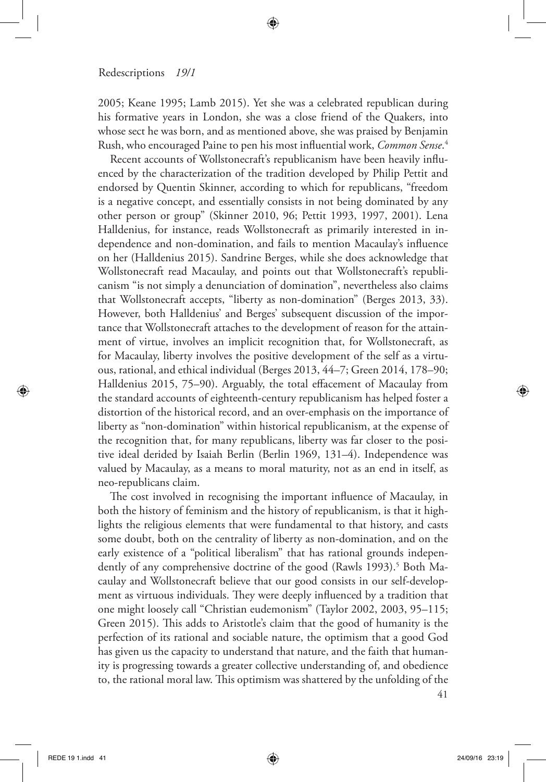2005; Keane 1995; Lamb 2015). Yet she was a celebrated republican during his formative years in London, she was a close friend of the Quakers, into whose sect he was born, and as mentioned above, she was praised by Benjamin Rush, who encouraged Paine to pen his most influential work, *Common Sense*. 4

⊕

Recent accounts of Wollstonecraft's republicanism have been heavily influenced by the characterization of the tradition developed by Philip Pettit and endorsed by Quentin Skinner, according to which for republicans, "freedom is a negative concept, and essentially consists in not being dominated by any other person or group" (Skinner 2010, 96; Pettit 1993, 1997, 2001). Lena Halldenius, for instance, reads Wollstonecraft as primarily interested in independence and non-domination, and fails to mention Macaulay's influence on her (Halldenius 2015). Sandrine Berges, while she does acknowledge that Wollstonecraft read Macaulay, and points out that Wollstonecraft's republicanism "is not simply a denunciation of domination", nevertheless also claims that Wollstonecraft accepts, "liberty as non-domination" (Berges 2013, 33). However, both Halldenius' and Berges' subsequent discussion of the importance that Wollstonecraft attaches to the development of reason for the attainment of virtue, involves an implicit recognition that, for Wollstonecraft, as for Macaulay, liberty involves the positive development of the self as a virtuous, rational, and ethical individual (Berges 2013, 44–7; Green 2014, 178–90; Halldenius 2015, 75–90). Arguably, the total effacement of Macaulay from the standard accounts of eighteenth-century republicanism has helped foster a distortion of the historical record, and an over-emphasis on the importance of liberty as "non-domination" within historical republicanism, at the expense of the recognition that, for many republicans, liberty was far closer to the positive ideal derided by Isaiah Berlin (Berlin 1969, 131–4). Independence was valued by Macaulay, as a means to moral maturity, not as an end in itself, as neo-republicans claim.

The cost involved in recognising the important influence of Macaulay, in both the history of feminism and the history of republicanism, is that it highlights the religious elements that were fundamental to that history, and casts some doubt, both on the centrality of liberty as non-domination, and on the early existence of a "political liberalism" that has rational grounds independently of any comprehensive doctrine of the good (Rawls 1993).<sup>5</sup> Both Macaulay and Wollstonecraft believe that our good consists in our self-development as virtuous individuals. They were deeply influenced by a tradition that one might loosely call "Christian eudemonism" (Taylor 2002, 2003, 95–115; Green 2015). This adds to Aristotle's claim that the good of humanity is the perfection of its rational and sociable nature, the optimism that a good God has given us the capacity to understand that nature, and the faith that humanity is progressing towards a greater collective understanding of, and obedience to, the rational moral law. This optimism was shattered by the unfolding of the

41

⊕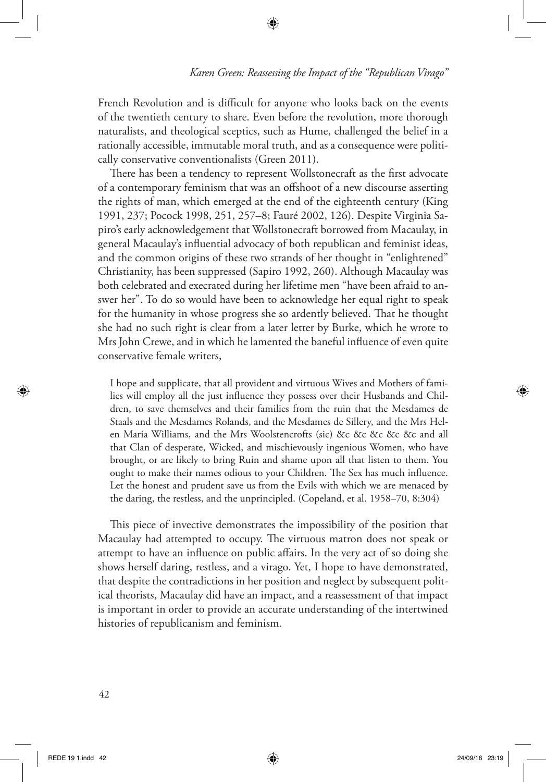French Revolution and is difficult for anyone who looks back on the events of the twentieth century to share. Even before the revolution, more thorough naturalists, and theological sceptics, such as Hume, challenged the belief in a rationally accessible, immutable moral truth, and as a consequence were politically conservative conventionalists (Green 2011).

⊕

There has been a tendency to represent Wollstonecraft as the first advocate of a contemporary feminism that was an offshoot of a new discourse asserting the rights of man, which emerged at the end of the eighteenth century (King 1991, 237; Pocock 1998, 251, 257–8; Fauré 2002, 126). Despite Virginia Sapiro's early acknowledgement that Wollstonecraft borrowed from Macaulay, in general Macaulay's influential advocacy of both republican and feminist ideas, and the common origins of these two strands of her thought in "enlightened" Christianity, has been suppressed (Sapiro 1992, 260). Although Macaulay was both celebrated and execrated during her lifetime men "have been afraid to answer her". To do so would have been to acknowledge her equal right to speak for the humanity in whose progress she so ardently believed. That he thought she had no such right is clear from a later letter by Burke, which he wrote to Mrs John Crewe, and in which he lamented the baneful influence of even quite conservative female writers,

I hope and supplicate, that all provident and virtuous Wives and Mothers of families will employ all the just influence they possess over their Husbands and Children, to save themselves and their families from the ruin that the Mesdames de Staals and the Mesdames Rolands, and the Mesdames de Sillery, and the Mrs Helen Maria Williams, and the Mrs Woolstencrofts (sic) &c &c &c &c &c and all that Clan of desperate, Wicked, and mischievously ingenious Women, who have brought, or are likely to bring Ruin and shame upon all that listen to them. You ought to make their names odious to your Children. The Sex has much influence. Let the honest and prudent save us from the Evils with which we are menaced by the daring, the restless, and the unprincipled. (Copeland, et al. 1958–70, 8:304)

This piece of invective demonstrates the impossibility of the position that Macaulay had attempted to occupy. The virtuous matron does not speak or attempt to have an influence on public affairs. In the very act of so doing she shows herself daring, restless, and a virago. Yet, I hope to have demonstrated, that despite the contradictions in her position and neglect by subsequent political theorists, Macaulay did have an impact, and a reassessment of that impact is important in order to provide an accurate understanding of the intertwined histories of republicanism and feminism.

⊕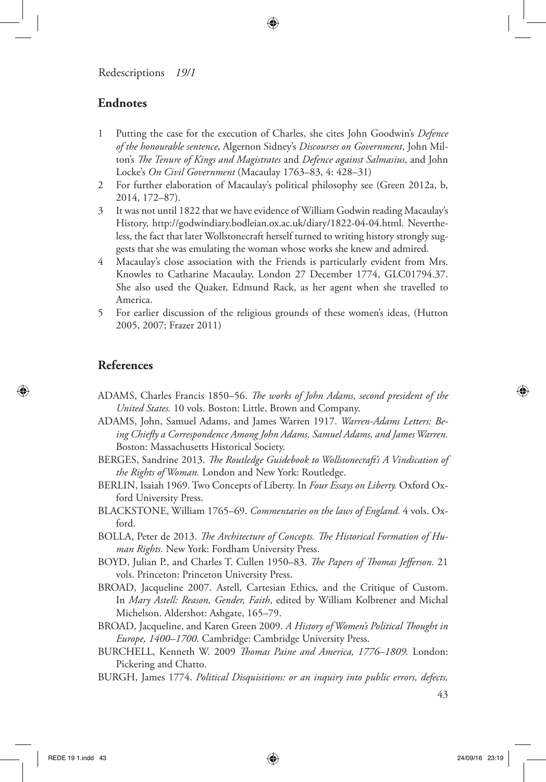# **Endnotes**

- 1 Putting the case for the execution of Charles, she cites John Goodwin's *Defence of the honourable sentence*, Algernon Sidney's *Discourses on Government*, John Milton's *The Tenure of Kings and Magistrates* and *Defence against Salmasius*, and John Locke's *On Civil Government* (Macaulay 1763–83, 4: 428–31)
- 2 For further elaboration of Macaulay's political philosophy see (Green 2012a, b, 2014, 172–87).
- 3 It was not until 1822 that we have evidence of William Godwin reading Macaulay's History, http://godwindiary.bodleian.ox.ac.uk/diary/1822-04-04.html. Nevertheless, the fact that later Wollstonecraft herself turned to writing history strongly suggests that she was emulating the woman whose works she knew and admired.
- 4 Macaulay's close association with the Friends is particularly evident from Mrs. Knowles to Catharine Macaulay, London 27 December 1774, GLC01794.37. She also used the Quaker, Edmund Rack, as her agent when she travelled to America.
- 5 For earlier discussion of the religious grounds of these women's ideas, (Hutton 2005, 2007; Frazer 2011)

# **References**

◈

- ADAMS, Charles Francis 1850–56. *The works of John Adams, second president of the United States.* 10 vols. Boston: Little, Brown and Company.
- ADAMS, John, Samuel Adams, and James Warren 1917. *Warren-Adams Letters: Being Chiefly a Correspondence Among John Adams, Samuel Adams, and James Warren.*  Boston: Massachusetts Historical Society.
- BERGES, Sandrine 2013. *The Routledge Guidebook to Wollstonecraft's A Vindication of the Rights of Woman.* London and New York: Routledge.
- BERLIN, Isaiah 1969. Two Concepts of Liberty. In *Four Essays on Liberty.* Oxford Oxford University Press.
- BLACKSTONE, William 1765–69. *Commentaries on the laws of England.* 4 vols. Oxford.
- BOLLA, Peter de 2013. *The Architecture of Concepts. The Historical Formation of Human Rights.* New York: Fordham University Press.
- BOYD, Julian P., and Charles T. Cullen 1950–83. *The Papers of Thomas Jefferson.* 21 vols. Princeton: Princeton University Press.
- BROAD, Jacqueline 2007. Astell, Cartesian Ethics, and the Critique of Custom. In *Mary Astell: Reason, Gender, Faith*, edited by William Kolbrener and Michal Michelson. Aldershot: Ashgate, 165–79.
- BROAD, Jacqueline, and Karen Green 2009. *A History of Women's Political Thought in Europe, 1400–1700.* Cambridge: Cambridge University Press.
- BURCHELL, Kenneth W. 2009 *Thomas Paine and America, 1776–1809.* London: Pickering and Chatto.
- BURGH, James 1774. *Political Disquisitions: or an inquiry into public errors, defects,*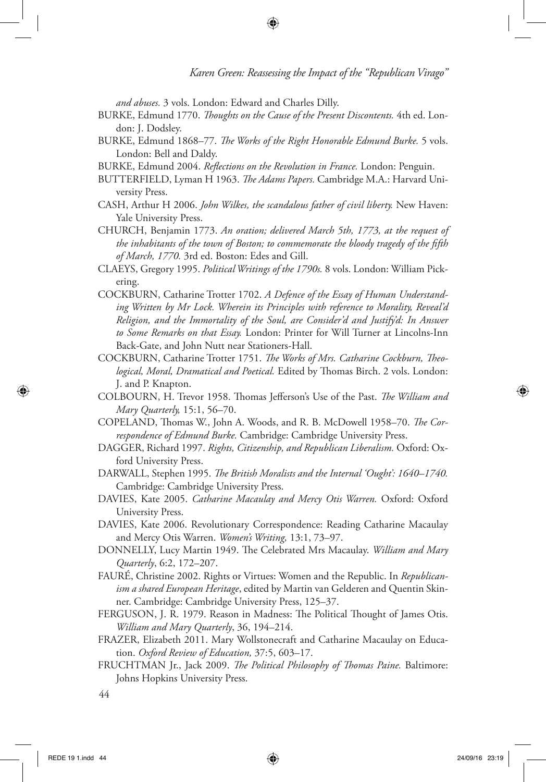*and abuses.* 3 vols. London: Edward and Charles Dilly.

BURKE, Edmund 1770. *Thoughts on the Cause of the Present Discontents.* 4th ed. London: J. Dodsley.

⊕

- BURKE, Edmund 1868–77. *The Works of the Right Honorable Edmund Burke.* 5 vols. London: Bell and Daldy.
- BURKE, Edmund 2004. *Reflections on the Revolution in France.* London: Penguin.
- BUTTERFIELD, Lyman H 1963. *The Adams Papers.* Cambridge M.A.: Harvard University Press.
- CASH, Arthur H 2006. *John Wilkes, the scandalous father of civil liberty.* New Haven: Yale University Press.
- CHURCH, Benjamin 1773. *An oration; delivered March 5th, 1773, at the request of the inhabitants of the town of Boston; to commemorate the bloody tragedy of the fifth of March, 1770.* 3rd ed. Boston: Edes and Gill.
- CLAEYS, Gregory 1995. *Political Writings of the 1790s.* 8 vols. London: William Pickering.
- COCKBURN, Catharine Trotter 1702. *A Defence of the Essay of Human Understanding Written by Mr Lock. Wherein its Principles with reference to Morality, Reveal'd Religion, and the Immortality of the Soul, are Consider'd and Justify'd: In Answer to Some Remarks on that Essay.* London: Printer for Will Turner at Lincolns-Inn Back-Gate, and John Nutt near Stationers-Hall.
- COCKBURN, Catharine Trotter 1751. *The Works of Mrs. Catharine Cockburn, Theological, Moral, Dramatical and Poetical.* Edited by Thomas Birch. 2 vols. London: J. and P. Knapton.
- COLBOURN, H. Trevor 1958. Thomas Jefferson's Use of the Past. *The William and Mary Quarterly,* 15:1, 56–70.
- COPELAND, Thomas W., John A. Woods, and R. B. McDowell 1958–70. *The Correspondence of Edmund Burke.* Cambridge: Cambridge University Press.
- DAGGER, Richard 1997. *Rights, Citizenship, and Republican Liberalism.* Oxford: Oxford University Press.
- DARWALL, Stephen 1995. *The British Moralists and the Internal 'Ought': 1640–1740.*  Cambridge: Cambridge University Press.
- DAVIES, Kate 2005. *Catharine Macaulay and Mercy Otis Warren.* Oxford: Oxford University Press.
- DAVIES, Kate 2006. Revolutionary Correspondence: Reading Catharine Macaulay and Mercy Otis Warren. *Women's Writing,* 13:1, 73–97.
- DONNELLY, Lucy Martin 1949. The Celebrated Mrs Macaulay. *William and Mary Quarterly*, 6:2, 172–207.
- FAURÉ, Christine 2002. Rights or Virtues: Women and the Republic. In *Republicanism a shared European Heritage*, edited by Martin van Gelderen and Quentin Skinner. Cambridge: Cambridge University Press, 125–37.
- FERGUSON, J. R. 1979. Reason in Madness: The Political Thought of James Otis. *William and Mary Quarterly*, 36, 194–214.
- FRAZER, Elizabeth 2011. Mary Wollstonecraft and Catharine Macaulay on Education. *Oxford Review of Education,* 37:5, 603–17.
- FRUCHTMAN Jr., Jack 2009. *The Political Philosophy of Thomas Paine.* Baltimore: Johns Hopkins University Press.

◈

<sup>44</sup>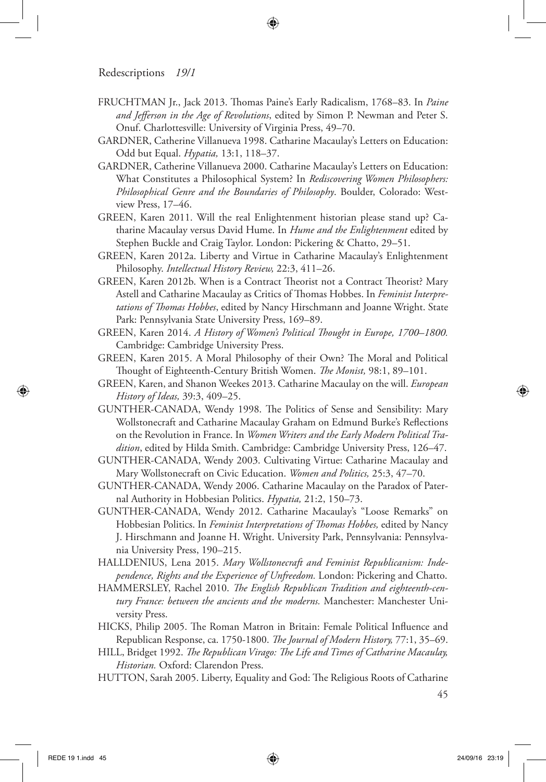FRUCHTMAN Jr., Jack 2013. Thomas Paine's Early Radicalism, 1768–83. In *Paine and Jefferson in the Age of Revolutions*, edited by Simon P. Newman and Peter S. Onuf. Charlottesville: University of Virginia Press, 49–70.

⊕

- GARDNER, Catherine Villanueva 1998. Catharine Macaulay's Letters on Education: Odd but Equal. *Hypatia,* 13:1, 118–37.
- GARDNER, Catherine Villanueva 2000. Catharine Macaulay's Letters on Education: What Constitutes a Philosophical System? In *Rediscovering Women Philosophers: Philosophical Genre and the Boundaries of Philosophy*. Boulder, Colorado: Westview Press, 17–46.
- GREEN, Karen 2011. Will the real Enlightenment historian please stand up? Catharine Macaulay versus David Hume. In *Hume and the Enlightenment* edited by Stephen Buckle and Craig Taylor. London: Pickering & Chatto, 29–51.
- GREEN, Karen 2012a. Liberty and Virtue in Catharine Macaulay's Enlightenment Philosophy. *Intellectual History Review,* 22:3, 411–26.
- GREEN, Karen 2012b. When is a Contract Theorist not a Contract Theorist? Mary Astell and Catharine Macaulay as Critics of Thomas Hobbes. In *Feminist Interpretations of Thomas Hobbes*, edited by Nancy Hirschmann and Joanne Wright. State Park: Pennsylvania State University Press, 169–89.
- GREEN, Karen 2014. *A History of Women's Political Thought in Europe, 1700–1800.* Cambridge: Cambridge University Press.
- GREEN, Karen 2015. A Moral Philosophy of their Own? The Moral and Political Thought of Eighteenth-Century British Women. *The Monist,* 98:1, 89–101.
- GREEN, Karen, and Shanon Weekes 2013. Catharine Macaulay on the will. *European History of Ideas,* 39:3, 409–25.
- GUNTHER-CANADA, Wendy 1998. The Politics of Sense and Sensibility: Mary Wollstonecraft and Catharine Macaulay Graham on Edmund Burke's Reflections on the Revolution in France. In *Women Writers and the Early Modern Political Tradition*, edited by Hilda Smith. Cambridge: Cambridge University Press, 126–47.
- GUNTHER-CANADA, Wendy 2003. Cultivating Virtue: Catharine Macaulay and Mary Wollstonecraft on Civic Education. *Women and Politics,* 25:3, 47–70.
- GUNTHER-CANADA, Wendy 2006. Catharine Macaulay on the Paradox of Paternal Authority in Hobbesian Politics. *Hypatia,* 21:2, 150–73.
- GUNTHER-CANADA, Wendy 2012. Catharine Macaulay's "Loose Remarks" on Hobbesian Politics. In *Feminist Interpretations of Thomas Hobbes,* edited by Nancy J. Hirschmann and Joanne H. Wright. University Park, Pennsylvania: Pennsylvania University Press, 190–215.
- HALLDENIUS, Lena 2015. *Mary Wollstonecraft and Feminist Republicanism: Independence, Rights and the Experience of Unfreedom.* London: Pickering and Chatto.
- HAMMERSLEY, Rachel 2010. *The English Republican Tradition and eighteenth-century France: between the ancients and the moderns.* Manchester: Manchester University Press.
- HICKS, Philip 2005. The Roman Matron in Britain: Female Political Influence and Republican Response, ca. 1750-1800. *The Journal of Modern History,* 77:1, 35–69.
- HILL, Bridget 1992. *The Republican Virago: The Life and Times of Catharine Macaulay, Historian.* Oxford: Clarendon Press.
- HUTTON, Sarah 2005. Liberty, Equality and God: The Religious Roots of Catharine

◈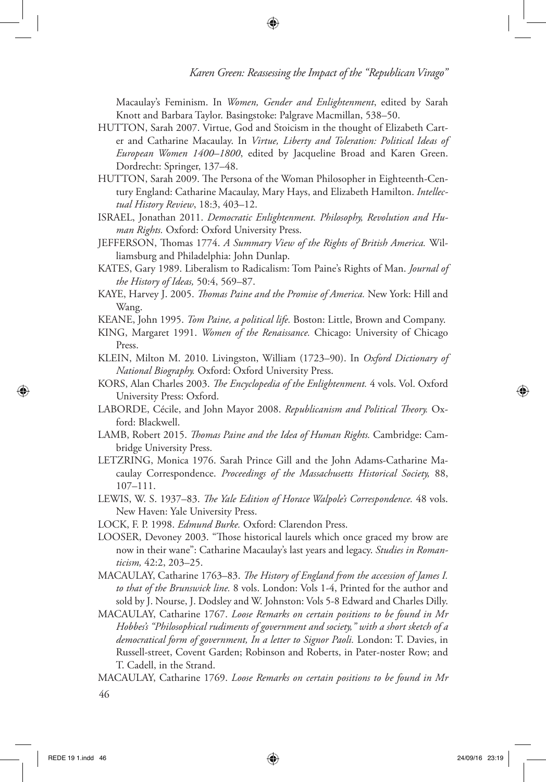Macaulay's Feminism. In *Women, Gender and Enlightenment*, edited by Sarah Knott and Barbara Taylor. Basingstoke: Palgrave Macmillan, 538–50.

HUTTON, Sarah 2007. Virtue, God and Stoicism in the thought of Elizabeth Carter and Catharine Macaulay. In *Virtue, Liberty and Toleration: Political Ideas of European Women 1400–1800*, edited by Jacqueline Broad and Karen Green. Dordrecht: Springer, 137–48.

↔

- HUTTON, Sarah 2009. The Persona of the Woman Philosopher in Eighteenth-Century England: Catharine Macaulay, Mary Hays, and Elizabeth Hamilton. *Intellectual History Review*, 18:3, 403–12.
- ISRAEL, Jonathan 2011. *Democratic Enlightenment. Philosophy, Revolution and Human Rights.* Oxford: Oxford University Press.
- JEFFERSON, Thomas 1774. *A Summary View of the Rights of British America.* Williamsburg and Philadelphia: John Dunlap.
- KATES, Gary 1989. Liberalism to Radicalism: Tom Paine's Rights of Man. *Journal of the History of Ideas,* 50:4, 569–87.
- KAYE, Harvey J. 2005. *Thomas Paine and the Promise of America.* New York: Hill and Wang.
- KEANE, John 1995. *Tom Paine, a political life.* Boston: Little, Brown and Company.
- KING, Margaret 1991. *Women of the Renaissance.* Chicago: University of Chicago Press.
- KLEIN, Milton M. 2010. Livingston, William (1723–90). In *Oxford Dictionary of National Biography.* Oxford: Oxford University Press.
- KORS, Alan Charles 2003. *The Encyclopedia of the Enlightenment.* 4 vols. Vol. Oxford University Press: Oxford.
- LABORDE, Cécile, and John Mayor 2008. *Republicanism and Political Theory.* Oxford: Blackwell.
- LAMB, Robert 2015. *Thomas Paine and the Idea of Human Rights.* Cambridge: Cambridge University Press.
- LETZRING, Monica 1976. Sarah Prince Gill and the John Adams-Catharine Macaulay Correspondence. *Proceedings of the Massachusetts Historical Society,* 88, 107–111.
- LEWIS, W. S. 1937–83. *The Yale Edition of Horace Walpole's Correspondence.* 48 vols. New Haven: Yale University Press.
- LOCK, F. P. 1998. *Edmund Burke.* Oxford: Clarendon Press.
- LOOSER, Devoney 2003. "Those historical laurels which once graced my brow are now in their wane": Catharine Macaulay's last years and legacy. *Studies in Romanticism,* 42:2, 203–25.
- MACAULAY, Catharine 1763–83. *The History of England from the accession of James I. to that of the Brunswick line.* 8 vols. London: Vols 1-4, Printed for the author and sold by J. Nourse, J. Dodsley and W. Johnston: Vols 5-8 Edward and Charles Dilly.
- MACAULAY, Catharine 1767. *Loose Remarks on certain positions to be found in Mr Hobbes's "Philosophical rudiments of government and society," with a short sketch of a democratical form of government, In a letter to Signor Paoli.* London: T. Davies, in Russell-street, Covent Garden; Robinson and Roberts, in Pater-noster Row; and T. Cadell, in the Strand.
- 46 MACAULAY, Catharine 1769. *Loose Remarks on certain positions to be found in Mr*

⊕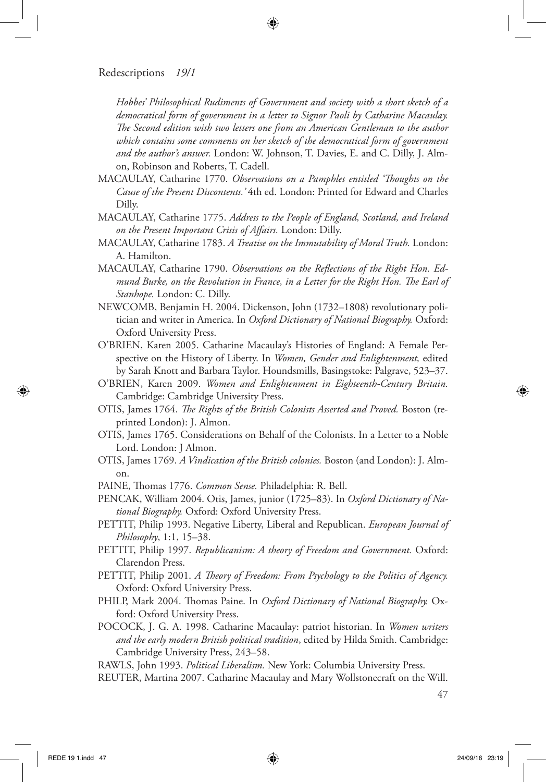*Hobbes' Philosophical Rudiments of Government and society with a short sketch of a democratical form of government in a letter to Signor Paoli by Catharine Macaulay. The Second edition with two letters one from an American Gentleman to the author which contains some comments on her sketch of the democratical form of government and the author's answer.* London: W. Johnson, T. Davies, E. and C. Dilly, J. Almon, Robinson and Roberts, T. Cadell.

⊕

- MACAULAY, Catharine 1770. *Observations on a Pamphlet entitled 'Thoughts on the Cause of the Present Discontents.'* 4th ed. London: Printed for Edward and Charles Dilly.
- MACAULAY, Catharine 1775. *Address to the People of England, Scotland, and Ireland on the Present Important Crisis of Affairs.* London: Dilly.
- MACAULAY, Catharine 1783. *A Treatise on the Immutability of Moral Truth.* London: A. Hamilton.
- MACAULAY, Catharine 1790. *Observations on the Reflections of the Right Hon. Edmund Burke, on the Revolution in France, in a Letter for the Right Hon. The Earl of Stanhope.* London: C. Dilly.
- NEWCOMB, Benjamin H. 2004. Dickenson, John (1732–1808) revolutionary politician and writer in America. In *Oxford Dictionary of National Biography.* Oxford: Oxford University Press.
- O'BRIEN, Karen 2005. Catharine Macaulay's Histories of England: A Female Perspective on the History of Liberty. In *Women, Gender and Enlightenment,* edited by Sarah Knott and Barbara Taylor. Houndsmills, Basingstoke: Palgrave, 523–37.
- O'BRIEN, Karen 2009. *Women and Enlightenment in Eighteenth-Century Britain.* Cambridge: Cambridge University Press.
- OTIS, James 1764. *The Rights of the British Colonists Asserted and Proved.* Boston (reprinted London): J. Almon.
- OTIS, James 1765. Considerations on Behalf of the Colonists. In a Letter to a Noble Lord. London: J Almon.
- OTIS, James 1769. *A Vindication of the British colonies.* Boston (and London): J. Almon.
- PAINE, Thomas 1776. *Common Sense.* Philadelphia: R. Bell.
- PENCAK, William 2004. Otis, James, junior (1725–83). In *Oxford Dictionary of National Biography.* Oxford: Oxford University Press.
- PETTIT, Philip 1993. Negative Liberty, Liberal and Republican. *European Journal of Philosophy*, 1:1, 15–38.
- PETTIT, Philip 1997. *Republicanism: A theory of Freedom and Government.* Oxford: Clarendon Press.
- PETTIT, Philip 2001. *A Theory of Freedom: From Psychology to the Politics of Agency.*  Oxford: Oxford University Press.
- PHILP, Mark 2004. Thomas Paine. In *Oxford Dictionary of National Biography.* Oxford: Oxford University Press.
- POCOCK, J. G. A. 1998. Catharine Macaulay: patriot historian. In *Women writers and the early modern British political tradition*, edited by Hilda Smith. Cambridge: Cambridge University Press, 243–58.

RAWLS, John 1993. *Political Liberalism.* New York: Columbia University Press.

REUTER, Martina 2007. Catharine Macaulay and Mary Wollstonecraft on the Will.